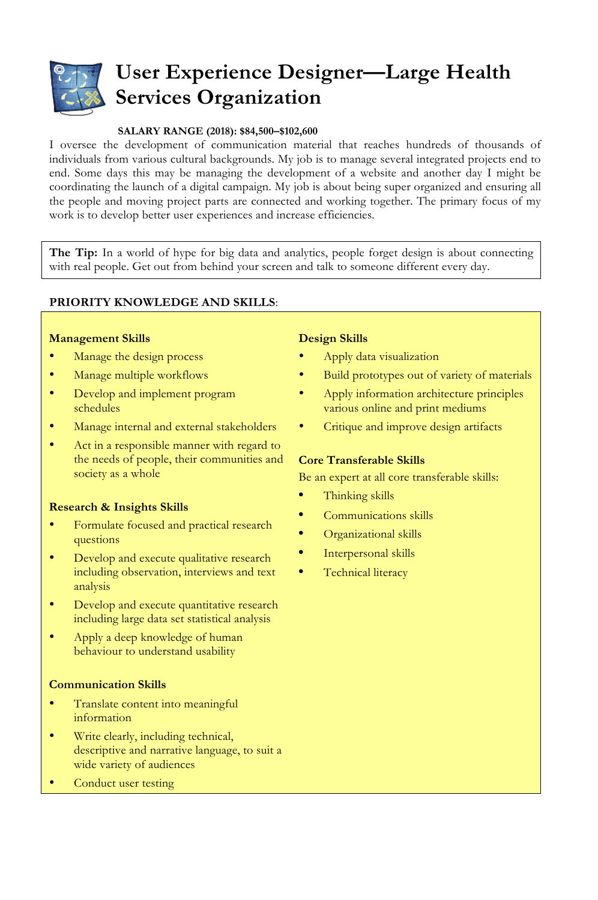

# **User Experience Designer—Large Health Services Organization**

### **SALARY RANGE (2018): \$84,500–\$102,600**

I oversee the development of communication material that reaches hundreds of thousands of individuals from various cultural backgrounds. My job is to manage several integrated projects end to end. Some days this may be managing the development of a website and another day I might be coordinating the launch of a digital campaign. My job is about being super organized and ensuring all the people and moving project parts are connected and working together. The primary focus of my work is to develop better user experiences and increase efficiencies.

**The Tip:** In a world of hype for big data and analytics, people forget design is about connecting with real people. Get out from behind your screen and talk to someone different every day.

## **PRIORITY KNOWLEDGE AND SKILLS**:

#### **Management Skills**

- Manage the design process
- Manage multiple workflows
- Develop and implement program schedules
- Manage internal and external stakeholders
- Act in a responsible manner with regard to the needs of people, their communities and society as a whole

#### **Research & Insights Skills**

- Formulate focused and practical research questions
- Develop and execute qualitative research including observation, interviews and text analysis
- Develop and execute quantitative research including large data set statistical analysis
- Apply a deep knowledge of human behaviour to understand usability

#### **Communication Skills**

- Translate content into meaningful information
- Write clearly, including technical, descriptive and narrative language, to suit a wide variety of audiences
- Conduct user testing

#### **Design Skills**

- Apply data visualization
- Build prototypes out of variety of materials
- Apply information architecture principles various online and print mediums
- Critique and improve design artifacts

#### **Core Transferable Skills**

Be an expert at all core transferable skills:

- **•** Thinking skills
- **•** Communications skills
- **•** Organizational skills
- **•** Interpersonal skills
- **•** Technical literacy